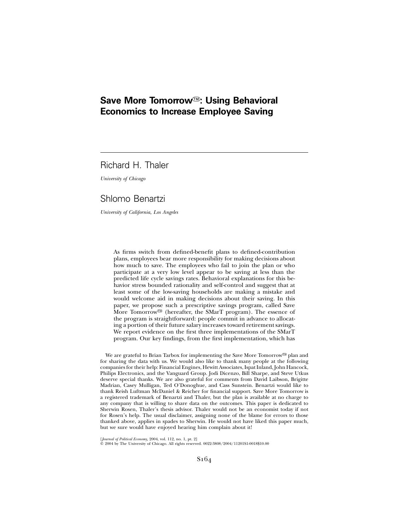# **Save More Tomorrow**-**: Using Behavioral Economics to Increase Employee Saving**

Richard H. Thaler

*University of Chicago*

## Shlomo Benartzi

*University of California, Los Angeles*

As firms switch from defined-benefit plans to defined-contribution plans, employees bear more responsibility for making decisions about how much to save. The employees who fail to join the plan or who participate at a very low level appear to be saving at less than the predicted life cycle savings rates. Behavioral explanations for this behavior stress bounded rationality and self-control and suggest that at least some of the low-saving households are making a mistake and would welcome aid in making decisions about their saving. In this paper, we propose such a prescriptive savings program, called Save More Tomorrow<sup>®</sup> (hereafter, the SMarT program). The essence of the program is straightforward: people commit in advance to allocating a portion of their future salary increases toward retirement savings. We report evidence on the first three implementations of the SMarT program. Our key findings, from the first implementation, which has

We are grateful to Brian Tarbox for implementing the Save More Tomorrow<sup>®</sup> plan and for sharing the data with us. We would also like to thank many people at the following companies for their help: Financial Engines, Hewitt Associates, Ispat Inland, John Hancock, Philips Electronics, and the Vanguard Group. Jodi Dicenzo, Bill Sharpe, and Steve Utkus deserve special thanks. We are also grateful for comments from David Laibson, Brigitte Madrian, Casey Mulligan, Ted O'Donoghue, and Cass Sunstein. Benartzi would like to thank Reish Luftman McDaniel & Reicher for financial support. Save More Tomorrow is a registered trademark of Benartzi and Thaler, but the plan is available at no charge to any company that is willing to share data on the outcomes. This paper is dedicated to Sherwin Rosen, Thaler's thesis advisor. Thaler would not be an economist today if not for Rosen's help. The usual disclaimer, assigning none of the blame for errors to those thanked above, applies in spades to Sherwin. He would not have liked this paper much, but we sure would have enjoyed hearing him complain about it!

[*Journal of Political Econom*y, 2004, vol. 112, no. 1, pt. 2]<br>© 2004 by The University of Chicago. All rights reserved. 0022-3808/2004/11201S1-0018\$10.00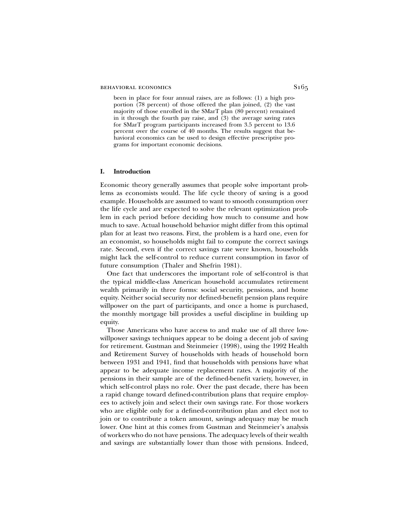been in place for four annual raises, are as follows: (1) a high proportion  $(78$  percent) of those offered the plan joined,  $(2)$  the vast majority of those enrolled in the SMarT plan (80 percent) remained in it through the fourth pay raise, and (3) the average saving rates for SMarT program participants increased from 3.5 percent to 13.6 percent over the course of 40 months. The results suggest that behavioral economics can be used to design effective prescriptive programs for important economic decisions.

#### **I. Introduction**

Economic theory generally assumes that people solve important problems as economists would. The life cycle theory of saving is a good example. Households are assumed to want to smooth consumption over the life cycle and are expected to solve the relevant optimization problem in each period before deciding how much to consume and how much to save. Actual household behavior might differ from this optimal plan for at least two reasons. First, the problem is a hard one, even for an economist, so households might fail to compute the correct savings rate. Second, even if the correct savings rate were known, households might lack the self-control to reduce current consumption in favor of future consumption (Thaler and Shefrin 1981).

One fact that underscores the important role of self-control is that the typical middle-class American household accumulates retirement wealth primarily in three forms: social security, pensions, and home equity. Neither social security nor defined-benefit pension plans require willpower on the part of participants, and once a home is purchased, the monthly mortgage bill provides a useful discipline in building up equity.

Those Americans who have access to and make use of all three lowwillpower savings techniques appear to be doing a decent job of saving for retirement. Gustman and Steinmeier (1998), using the 1992 Health and Retirement Survey of households with heads of household born between 1931 and 1941, find that households with pensions have what appear to be adequate income replacement rates. A majority of the pensions in their sample are of the defined-benefit variety, however, in which self-control plays no role. Over the past decade, there has been a rapid change toward defined-contribution plans that require employees to actively join and select their own savings rate. For those workers who are eligible only for a defined-contribution plan and elect not to join or to contribute a token amount, savings adequacy may be much lower. One hint at this comes from Gustman and Steinmeier's analysis of workers who do not have pensions. The adequacy levels of their wealth and savings are substantially lower than those with pensions. Indeed,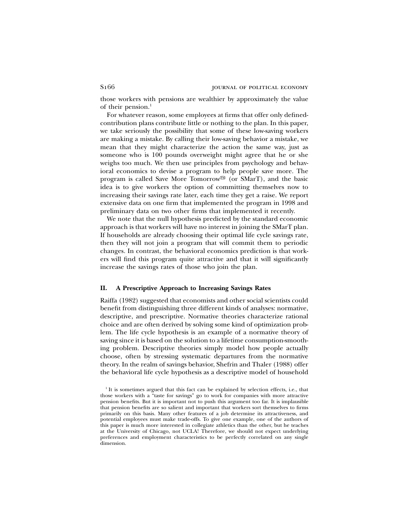those workers with pensions are wealthier by approximately the value of their pension.<sup>1</sup>

For whatever reason, some employees at firms that offer only definedcontribution plans contribute little or nothing to the plan. In this paper, we take seriously the possibility that some of these low-saving workers are making a mistake. By calling their low-saving behavior a mistake, we mean that they might characterize the action the same way, just as someone who is 100 pounds overweight might agree that he or she weighs too much. We then use principles from psychology and behavioral economics to devise a program to help people save more. The program is called Save More Tomorrow<sup>®</sup> (or SMarT), and the basic idea is to give workers the option of committing themselves now to increasing their savings rate later, each time they get a raise. We report extensive data on one firm that implemented the program in 1998 and preliminary data on two other firms that implemented it recently.

We note that the null hypothesis predicted by the standard economic approach is that workers will have no interest in joining the SMarT plan. If households are already choosing their optimal life cycle savings rate, then they will not join a program that will commit them to periodic changes. In contrast, the behavioral economics prediction is that workers will find this program quite attractive and that it will significantly increase the savings rates of those who join the plan.

## **II. A Prescriptive Approach to Increasing Savings Rates**

Raiffa (1982) suggested that economists and other social scientists could benefit from distinguishing three different kinds of analyses: normative, descriptive, and prescriptive. Normative theories characterize rational choice and are often derived by solving some kind of optimization problem. The life cycle hypothesis is an example of a normative theory of saving since it is based on the solution to a lifetime consumption-smoothing problem. Descriptive theories simply model how people actually choose, often by stressing systematic departures from the normative theory. In the realm of savings behavior, Shefrin and Thaler (1988) offer the behavioral life cycle hypothesis as a descriptive model of household

<sup>&</sup>lt;sup>1</sup> It is sometimes argued that this fact can be explained by selection effects, i.e., that those workers with a "taste for savings" go to work for companies with more attractive pension benefits. But it is important not to push this argument too far. It is implausible that pension benefits are so salient and important that workers sort themselves to firms primarily on this basis. Many other features of a job determine its attractiveness, and potential employees must make trade-offs. To give one example, one of the authors of this paper is much more interested in collegiate athletics than the other, but he teaches at the University of Chicago, not UCLA! Therefore, we should not expect underlying preferences and employment characteristics to be perfectly correlated on any single dimension.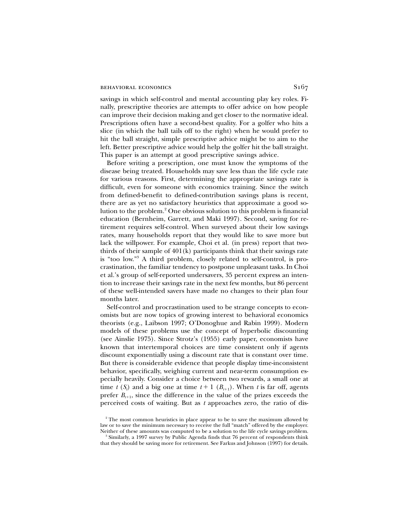savings in which self-control and mental accounting play key roles. Finally, prescriptive theories are attempts to offer advice on how people can improve their decision making and get closer to the normative ideal. Prescriptions often have a second-best quality. For a golfer who hits a slice (in which the ball tails off to the right) when he would prefer to hit the ball straight, simple prescriptive advice might be to aim to the left. Better prescriptive advice would help the golfer hit the ball straight. This paper is an attempt at good prescriptive savings advice.

Before writing a prescription, one must know the symptoms of the disease being treated. Households may save less than the life cycle rate for various reasons. First, determining the appropriate savings rate is difficult, even for someone with economics training. Since the switch from defined-benefit to defined-contribution savings plans is recent, there are as yet no satisfactory heuristics that approximate a good solution to the problem.<sup>2</sup> One obvious solution to this problem is financial education (Bernheim, Garrett, and Maki 1997). Second, saving for retirement requires self-control. When surveyed about their low savings rates, many households report that they would like to save more but lack the willpower. For example, Choi et al. (in press) report that twothirds of their sample of 401(k) participants think that their savings rate is "too low."<sup>3</sup> A third problem, closely related to self-control, is procrastination, the familiar tendency to postpone unpleasant tasks. In Choi et al.'s group of self-reported undersavers, 35 percent express an intention to increase their savings rate in the next few months, but 86 percent of these well-intended savers have made no changes to their plan four months later.

Self-control and procrastination used to be strange concepts to economists but are now topics of growing interest to behavioral economics theorists (e.g., Laibson 1997; O'Donoghue and Rabin 1999). Modern models of these problems use the concept of hyperbolic discounting (see Ainslie 1975). Since Strotz's (1955) early paper, economists have known that intertemporal choices are time consistent only if agents discount exponentially using a discount rate that is constant over time. But there is considerable evidence that people display time-inconsistent behavior, specifically, weighing current and near-term consumption especially heavily. Consider a choice between two rewards, a small one at time *t* (S<sub>i</sub>) and a big one at time  $t + 1$  ( $B_{t+1}$ ). When *t* is far off, agents prefer  $B_{t+1}$ , since the difference in the value of the prizes exceeds the perceived costs of waiting. But as *t* approaches zero, the ratio of dis-

<sup>&</sup>lt;sup>2</sup> The most common heuristics in place appear to be to save the maximum allowed by law or to save the minimum necessary to receive the full "match" offered by the employer. Neither of these amounts was computed to be a solution to the life cycle savings problem.

<sup>3</sup> Similarly, a 1997 survey by Public Agenda finds that 76 percent of respondents think that they should be saving more for retirement. See Farkus and Johnson (1997) for details.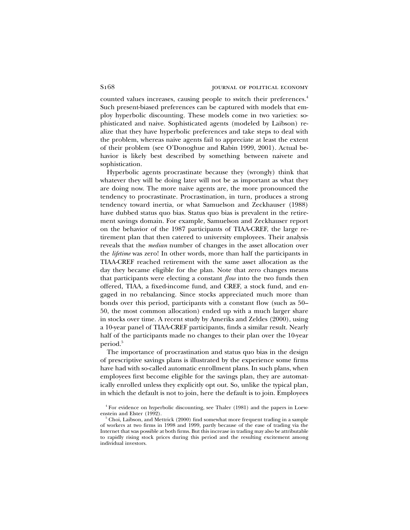counted values increases, causing people to switch their preferences.<sup>4</sup> Such present-biased preferences can be captured with models that employ hyperbolic discounting. These models come in two varieties: sophisticated and naive. Sophisticated agents (modeled by Laibson) realize that they have hyperbolic preferences and take steps to deal with the problem, whereas naive agents fail to appreciate at least the extent of their problem (see O'Donoghue and Rabin 1999, 2001). Actual behavior is likely best described by something between naivete and sophistication.

Hyperbolic agents procrastinate because they (wrongly) think that whatever they will be doing later will not be as important as what they are doing now. The more naive agents are, the more pronounced the tendency to procrastinate. Procrastination, in turn, produces a strong tendency toward inertia, or what Samuelson and Zeckhauser (1988) have dubbed status quo bias. Status quo bias is prevalent in the retirement savings domain. For example, Samuelson and Zeckhauser report on the behavior of the 1987 participants of TIAA-CREF, the large retirement plan that then catered to university employees. Their analysis reveals that the *median* number of changes in the asset allocation over the *lifetime* was zero! In other words, more than half the participants in TIAA-CREF reached retirement with the same asset allocation as the day they became eligible for the plan. Note that zero changes means that participants were electing a constant *flow* into the two funds then offered, TIAA, a fixed-income fund, and CREF, a stock fund, and engaged in no rebalancing. Since stocks appreciated much more than bonds over this period, participants with a constant flow (such as 50– 50, the most common allocation) ended up with a much larger share in stocks over time. A recent study by Ameriks and Zeldes (2000), using a 10-year panel of TIAA-CREF participants, finds a similar result. Nearly half of the participants made no changes to their plan over the 10-year period.<sup>5</sup>

The importance of procrastination and status quo bias in the design of prescriptive savings plans is illustrated by the experience some firms have had with so-called automatic enrollment plans. In such plans, when employees first become eligible for the savings plan, they are automatically enrolled unless they explicitly opt out. So, unlike the typical plan, in which the default is not to join, here the default is to join. Employees

<sup>4</sup> For evidence on hyperbolic discounting, see Thaler (1981) and the papers in Loewenstein and Elster (1992).

<sup>&</sup>lt;sup>5</sup> Choi, Laibson, and Mettrick (2000) find somewhat more frequent trading in a sample of workers at two firms in 1998 and 1999, partly because of the ease of trading via the Internet that was possible at both firms. But this increase in trading may also be attributable to rapidly rising stock prices during this period and the resulting excitement among individual investors.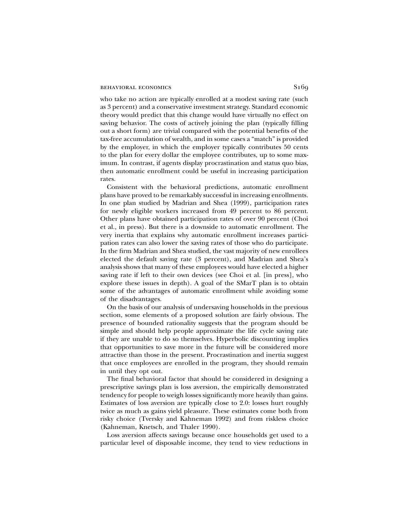who take no action are typically enrolled at a modest saving rate (such as 3 percent) and a conservative investment strategy. Standard economic theory would predict that this change would have virtually no effect on saving behavior. The costs of actively joining the plan (typically filling out a short form) are trivial compared with the potential benefits of the tax-free accumulation of wealth, and in some cases a "match" is provided by the employer, in which the employer typically contributes 50 cents to the plan for every dollar the employee contributes, up to some maximum. In contrast, if agents display procrastination and status quo bias, then automatic enrollment could be useful in increasing participation rates.

Consistent with the behavioral predictions, automatic enrollment plans have proved to be remarkably successful in increasing enrollments. In one plan studied by Madrian and Shea (1999), participation rates for newly eligible workers increased from 49 percent to 86 percent. Other plans have obtained participation rates of over 90 percent (Choi et al., in press). But there is a downside to automatic enrollment. The very inertia that explains why automatic enrollment increases participation rates can also lower the saving rates of those who do participate. In the firm Madrian and Shea studied, the vast majority of new enrollees elected the default saving rate (3 percent), and Madrian and Shea's analysis shows that many of these employees would have elected a higher saving rate if left to their own devices (see Choi et al. [in press], who explore these issues in depth). A goal of the SMarT plan is to obtain some of the advantages of automatic enrollment while avoiding some of the disadvantages.

On the basis of our analysis of undersaving households in the previous section, some elements of a proposed solution are fairly obvious. The presence of bounded rationality suggests that the program should be simple and should help people approximate the life cycle saving rate if they are unable to do so themselves. Hyperbolic discounting implies that opportunities to save more in the future will be considered more attractive than those in the present. Procrastination and inertia suggest that once employees are enrolled in the program, they should remain in until they opt out.

The final behavioral factor that should be considered in designing a prescriptive savings plan is loss aversion, the empirically demonstrated tendency for people to weigh losses significantly more heavily than gains. Estimates of loss aversion are typically close to 2.0: losses hurt roughly twice as much as gains yield pleasure. These estimates come both from risky choice (Tversky and Kahneman 1992) and from riskless choice (Kahneman, Knetsch, and Thaler 1990).

Loss aversion affects savings because once households get used to a particular level of disposable income, they tend to view reductions in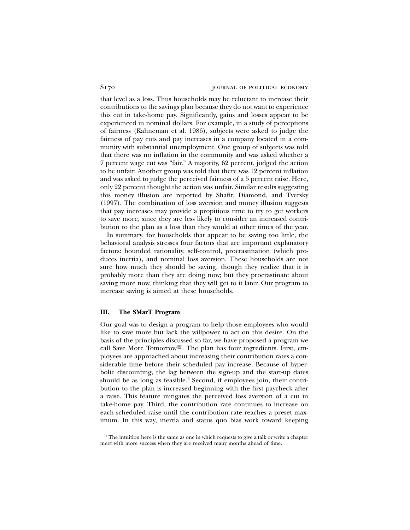that level as a loss. Thus households may be reluctant to increase their contributions to the savings plan because they do not want to experience this cut in take-home pay. Significantly, gains and losses appear to be experienced in nominal dollars. For example, in a study of perceptions of fairness (Kahneman et al. 1986), subjects were asked to judge the fairness of pay cuts and pay increases in a company located in a community with substantial unemployment. One group of subjects was told that there was no inflation in the community and was asked whether a 7 percent wage cut was "fair." A majority, 62 percent, judged the action to be unfair. Another group was told that there was 12 percent inflation and was asked to judge the perceived fairness of a 5 percent raise. Here, only 22 percent thought the action was unfair. Similar results suggesting this money illusion are reported by Shafir, Diamond, and Tversky (1997). The combination of loss aversion and money illusion suggests that pay increases may provide a propitious time to try to get workers to save more, since they are less likely to consider an increased contribution to the plan as a loss than they would at other times of the year.

In summary, for households that appear to be saving too little, the behavioral analysis stresses four factors that are important explanatory factors: bounded rationality, self-control, procrastination (which produces inertia), and nominal loss aversion. These households are not sure how much they should be saving, though they realize that it is probably more than they are doing now; but they procrastinate about saving more now, thinking that they will get to it later. Our program to increase saving is aimed at these households.

## **III. The SMarT Program**

Our goal was to design a program to help those employees who would like to save more but lack the willpower to act on this desire. On the basis of the principles discussed so far, we have proposed a program we call Save More Tomorrow<sup>®</sup>. The plan has four ingredients. First, employees are approached about increasing their contribution rates a considerable time before their scheduled pay increase. Because of hyperbolic discounting, the lag between the sign-up and the start-up dates should be as long as feasible.<sup>6</sup> Second, if employees join, their contribution to the plan is increased beginning with the first paycheck after a raise. This feature mitigates the perceived loss aversion of a cut in take-home pay. Third, the contribution rate continues to increase on each scheduled raise until the contribution rate reaches a preset maximum. In this way, inertia and status quo bias work toward keeping

<sup>6</sup> The intuition here is the same as one in which requests to give a talk or write a chapter meet with more success when they are received many months ahead of time.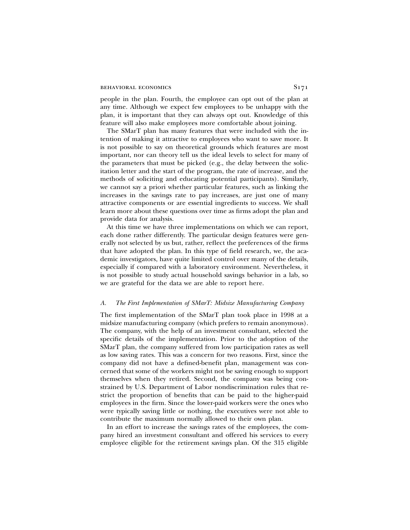#### BEHAVIORAL ECONOMICS S<sup>171</sup>

people in the plan. Fourth, the employee can opt out of the plan at any time. Although we expect few employees to be unhappy with the plan, it is important that they can always opt out. Knowledge of this feature will also make employees more comfortable about joining.

The SMarT plan has many features that were included with the intention of making it attractive to employees who want to save more. It is not possible to say on theoretical grounds which features are most important, nor can theory tell us the ideal levels to select for many of the parameters that must be picked (e.g., the delay between the solicitation letter and the start of the program, the rate of increase, and the methods of soliciting and educating potential participants). Similarly, we cannot say a priori whether particular features, such as linking the increases in the savings rate to pay increases, are just one of many attractive components or are essential ingredients to success. We shall learn more about these questions over time as firms adopt the plan and provide data for analysis.

At this time we have three implementations on which we can report, each done rather differently. The particular design features were generally not selected by us but, rather, reflect the preferences of the firms that have adopted the plan. In this type of field research, we, the academic investigators, have quite limited control over many of the details, especially if compared with a laboratory environment. Nevertheless, it is not possible to study actual household savings behavior in a lab, so we are grateful for the data we are able to report here.

#### *A. The First Implementation of SMarT: Midsize Manufacturing Company*

The first implementation of the SMarT plan took place in 1998 at a midsize manufacturing company (which prefers to remain anonymous). The company, with the help of an investment consultant, selected the specific details of the implementation. Prior to the adoption of the SMarT plan, the company suffered from low participation rates as well as low saving rates. This was a concern for two reasons. First, since the company did not have a defined-benefit plan, management was concerned that some of the workers might not be saving enough to support themselves when they retired. Second, the company was being constrained by U.S. Department of Labor nondiscrimination rules that restrict the proportion of benefits that can be paid to the higher-paid employees in the firm. Since the lower-paid workers were the ones who were typically saving little or nothing, the executives were not able to contribute the maximum normally allowed to their own plan.

In an effort to increase the savings rates of the employees, the company hired an investment consultant and offered his services to every employee eligible for the retirement savings plan. Of the 315 eligible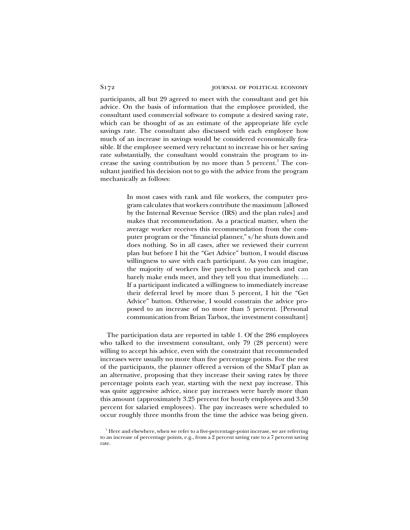participants, all but 29 agreed to meet with the consultant and get his advice. On the basis of information that the employee provided, the consultant used commercial software to compute a desired saving rate, which can be thought of as an estimate of the appropriate life cycle savings rate. The consultant also discussed with each employee how much of an increase in savings would be considered economically feasible. If the employee seemed very reluctant to increase his or her saving rate substantially, the consultant would constrain the program to increase the saving contribution by no more than 5 percent.<sup>7</sup> The consultant justified his decision not to go with the advice from the program mechanically as follows:

> In most cases with rank and file workers, the computer program calculates that workers contribute the maximum [allowed by the Internal Revenue Service (IRS) and the plan rules] and makes that recommendation. As a practical matter, when the average worker receives this recommendation from the computer program or the "financial planner," s/he shuts down and does nothing. So in all cases, after we reviewed their current plan but before I hit the "Get Advice" button, I would discuss willingness to save with each participant. As you can imagine, the majority of workers live paycheck to paycheck and can barely make ends meet, and they tell you that immediately. … If a participant indicated a willingness to immediately increase their deferral level by more than 5 percent, I hit the "Get Advice" button. Otherwise, I would constrain the advice proposed to an increase of no more than 5 percent. [Personal communication from Brian Tarbox, the investment consultant]

The participation data are reported in table 1. Of the 286 employees who talked to the investment consultant, only 79 (28 percent) were willing to accept his advice, even with the constraint that recommended increases were usually no more than five percentage points. For the rest of the participants, the planner offered a version of the SMarT plan as an alternative, proposing that they increase their saving rates by three percentage points each year, starting with the next pay increase. This was quite aggressive advice, since pay increases were barely more than this amount (approximately 3.25 percent for hourly employees and 3.50 percent for salaried employees). The pay increases were scheduled to occur roughly three months from the time the advice was being given.

<sup>7</sup> Here and elsewhere, when we refer to a five-percentage-point increase, we are referring to an increase of percentage points, e.g., from a 2 percent saving rate to a 7 percent saving rate.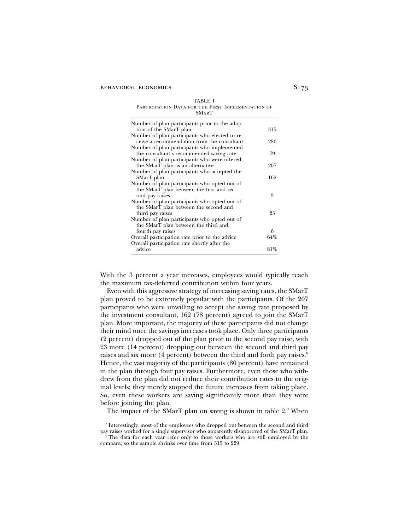TABLE 1 PARTICIPATION DATA FOR THE FIRST IMPLEMENTATION OF **SMART** 

| Number of plan participants prior to the adop-<br>tion of the SMarT plan | 315    |
|--------------------------------------------------------------------------|--------|
| Number of plan participants who elected to re-                           |        |
| ceive a recommendation from the consultant                               | 286    |
| Number of plan participants who implemented                              |        |
| the consultant's recommended saving rate                                 | 79     |
| Number of plan participants who were offered                             |        |
| the SMarT plan as an alternative                                         | 207    |
| Number of plan participants who accepted the                             |        |
| SMarT plan                                                               | 162    |
| Number of plan participants who opted out of                             |        |
| the SMarT plan between the first and sec-                                |        |
| ond pay raises                                                           | 3      |
| Number of plan participants who opted out of                             |        |
| the SMarT plan between the second and                                    |        |
| third pay raises                                                         | 23     |
| Number of plan participants who opted out of                             |        |
| the SMarT plan between the third and                                     |        |
| fourth pay raises                                                        | 6      |
| Overall participation rate prior to the advice                           | 64%    |
| Overall participation rate shortly after the                             |        |
| advice                                                                   | $81\%$ |
|                                                                          |        |

With the 3 percent a year increases, employees would typically reach the maximum tax-deferred contribution within four years.

Even with this aggressive strategy of increasing saving rates, the SMarT plan proved to be extremely popular with the participants. Of the 207 participants who were unwilling to accept the saving rate proposed by the investment consultant, 162 (78 percent) agreed to join the SMarT plan. More important, the majority of these participants did not change their mind once the savings increases took place. Only three participants (2 percent) dropped out of the plan prior to the second pay raise, with 23 more (14 percent) dropping out between the second and third pay raises and six more (4 percent) between the third and forth pay raises.<sup>8</sup> Hence, the vast majority of the participants (80 percent) have remained in the plan through four pay raises. Furthermore, even those who withdrew from the plan did not reduce their contribution rates to the original levels; they merely stopped the future increases from taking place. So, even these workers are saving significantly more than they were before joining the plan.

The impact of the SMarT plan on saving is shown in table 2.<sup>9</sup> When

<sup>&</sup>lt;sup>8</sup> Interestingly, most of the employees who dropped out between the second and third pay raises worked for a single supervisor who apparently disapproved of the SMarT plan.

<sup>&</sup>lt;sup>9</sup> The data for each year refer only to those workers who are still employed by the company, so the sample shrinks over time from 315 to 229.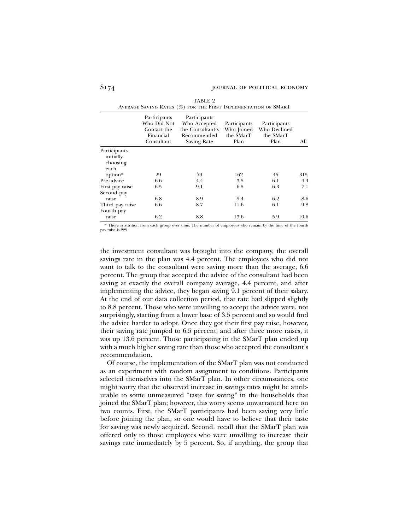|                  | Participants<br>Who Did Not<br>Contact the<br>Financial<br>Consultant | Participants<br>Who Accepted<br>the Consultant's<br>Recommended<br>Saving Rate | Participants<br>Who Joined<br>the SMarT<br>Plan | Participants<br>Who Declined<br>the SMarT<br>Plan | All  |
|------------------|-----------------------------------------------------------------------|--------------------------------------------------------------------------------|-------------------------------------------------|---------------------------------------------------|------|
| Participants     |                                                                       |                                                                                |                                                 |                                                   |      |
| initially        |                                                                       |                                                                                |                                                 |                                                   |      |
| choosing<br>each |                                                                       |                                                                                |                                                 |                                                   |      |
| option*          | 29                                                                    | 79                                                                             | 162                                             | 45                                                | 315  |
| Pre-advice       | 6.6                                                                   | 4.4                                                                            | 3.5                                             | 6.1                                               | 4.4  |
| First pay raise  | 6.5                                                                   | 9.1                                                                            | 6.5                                             | 6.3                                               | 7.1  |
| Second pay       |                                                                       |                                                                                |                                                 |                                                   |      |
| raise            | 6.8                                                                   | 8.9                                                                            | 9.4                                             | 6.2                                               | 8.6  |
| Third pay raise  | 6.6                                                                   | 8.7                                                                            | 11.6                                            | 6.1                                               | 9.8  |
| Fourth pay       |                                                                       |                                                                                |                                                 |                                                   |      |
| raise            | 6.2                                                                   | 8.8                                                                            | 13.6                                            | 5.9                                               | 10.6 |

| TABLE 2                                                        |
|----------------------------------------------------------------|
| AVERAGE SAVING RATES (%) FOR THE FIRST IMPLEMENTATION OF SMART |

\* There is attrition from each group over time. The number of employees who remain by the time of the fourth pay raise is 229.

the investment consultant was brought into the company, the overall savings rate in the plan was 4.4 percent. The employees who did not want to talk to the consultant were saving more than the average, 6.6 percent. The group that accepted the advice of the consultant had been saving at exactly the overall company average, 4.4 percent, and after implementing the advice, they began saving 9.1 percent of their salary. At the end of our data collection period, that rate had slipped slightly to 8.8 percent. Those who were unwilling to accept the advice were, not surprisingly, starting from a lower base of 3.5 percent and so would find the advice harder to adopt. Once they got their first pay raise, however, their saving rate jumped to 6.5 percent, and after three more raises, it was up 13.6 percent. Those participating in the SMarT plan ended up with a much higher saving rate than those who accepted the consultant's recommendation.

Of course, the implementation of the SMarT plan was not conducted as an experiment with random assignment to conditions. Participants selected themselves into the SMarT plan. In other circumstances, one might worry that the observed increase in savings rates might be attributable to some unmeasured "taste for saving" in the households that joined the SMarT plan; however, this worry seems unwarranted here on two counts. First, the SMarT participants had been saving very little before joining the plan, so one would have to believe that their taste for saving was newly acquired. Second, recall that the SMarT plan was offered only to those employees who were unwilling to increase their savings rate immediately by 5 percent. So, if anything, the group that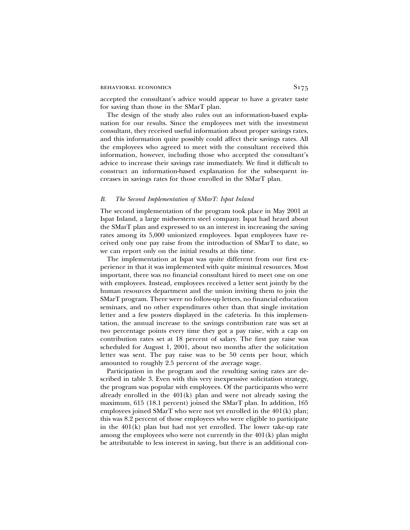accepted the consultant's advice would appear to have a greater taste for saving than those in the SMarT plan.

The design of the study also rules out an information-based explanation for our results. Since the employees met with the investment consultant, they received useful information about proper savings rates, and this information quite possibly could affect their savings rates. All the employees who agreed to meet with the consultant received this information, however, including those who accepted the consultant's advice to increase their savings rate immediately. We find it difficult to construct an information-based explanation for the subsequent increases in savings rates for those enrolled in the SMarT plan.

## *B. The Second Implementation of SMarT: Ispat Inland*

The second implementation of the program took place in May 2001 at Ispat Inland, a large midwestern steel company. Ispat had heard about the SMarT plan and expressed to us an interest in increasing the saving rates among its 5,000 unionized employees. Ispat employees have received only one pay raise from the introduction of SMarT to date, so we can report only on the initial results at this time.

The implementation at Ispat was quite different from our first experience in that it was implemented with quite minimal resources. Most important, there was no financial consultant hired to meet one on one with employees. Instead, employees received a letter sent jointly by the human resources department and the union inviting them to join the SMarT program. There were no follow-up letters, no financial education seminars, and no other expenditures other than that single invitation letter and a few posters displayed in the cafeteria. In this implementation, the annual increase to the savings contribution rate was set at two percentage points every time they got a pay raise, with a cap on contribution rates set at 18 percent of salary. The first pay raise was scheduled for August 1, 2001, about two months after the solicitation letter was sent. The pay raise was to be 50 cents per hour, which amounted to roughly 2.5 percent of the average wage.

Participation in the program and the resulting saving rates are described in table 3. Even with this very inexpensive solicitation strategy, the program was popular with employees. Of the participants who were already enrolled in the 401(k) plan and were not already saving the maximum, 615 (18.1 percent) joined the SMarT plan. In addition, 165 employees joined SMarT who were not yet enrolled in the 401(k) plan; this was 8.2 percent of those employees who were eligible to participate in the 401(k) plan but had not yet enrolled. The lower take-up rate among the employees who were not currently in the 401(k) plan might be attributable to less interest in saving, but there is an additional con-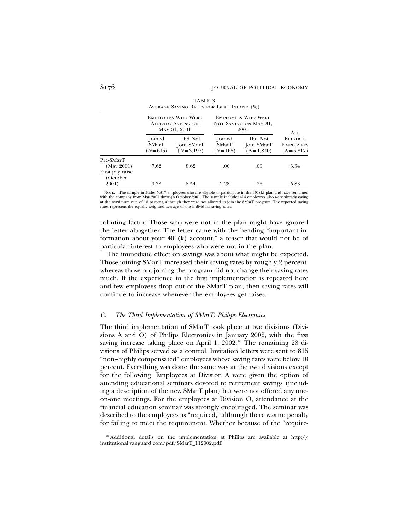| AVERAGE SAVING RATES FOR ISPAT INLAND (%)              |                                                                |                                      |                                                            |                                      |                                                    |  |
|--------------------------------------------------------|----------------------------------------------------------------|--------------------------------------|------------------------------------------------------------|--------------------------------------|----------------------------------------------------|--|
|                                                        | <b>EMPLOYEES WHO WERE</b><br>ALREADY SAVING ON<br>MAY 31, 2001 |                                      | <b>EMPLOYEES WHO WERE</b><br>NOT SAVING ON MAY 31,<br>2001 | All.                                 |                                                    |  |
|                                                        | Joined<br>SMarT<br>$(N=615)$                                   | Did Not<br>Join SMarT<br>$(N=3,197)$ | Joined<br>SMarT<br>$(N=165)$                               | Did Not<br>Join SMarT<br>$(N=1,840)$ | <b>ELIGIBLE</b><br><b>EMPLOYEES</b><br>$(N=5.817)$ |  |
| Pre-SMarT<br>(May 2001)<br>First pay raise<br>(October | 7.62                                                           | 8.62                                 | .00.                                                       | .00.                                 | 5.54                                               |  |
| 2001)                                                  | 9.38                                                           | 8.54                                 | 2.28                                                       | .26                                  | 5.83                                               |  |

| TABLE 3                                   |  |
|-------------------------------------------|--|
| AVERAGE SAVING RATES FOR ISPAT INLAND (%) |  |

Note.—The sample includes 5,817 employees who are eligible to participate in the 401(k) plan and have remained with the company from May 2001 through October 2001. The sample includes 414 employees who were already saving at the maximum rate of 18 percent, although they were not allowed to join the SMarT program. The reported saving rates represent the equally weighted average of the individual saving rates.

tributing factor. Those who were not in the plan might have ignored the letter altogether. The letter came with the heading "important information about your  $401(k)$  account," a teaser that would not be of particular interest to employees who were not in the plan.

The immediate effect on savings was about what might be expected. Those joining SMarT increased their saving rates by roughly 2 percent, whereas those not joining the program did not change their saving rates much. If the experience in the first implementation is repeated here and few employees drop out of the SMarT plan, then saving rates will continue to increase whenever the employees get raises.

#### *C. The Third Implementation of SMarT: Philips Electronics*

The third implementation of SMarT took place at two divisions (Divisions A and O) of Philips Electronics in January 2002, with the first saving increase taking place on April 1, 2002.<sup>10</sup> The remaining 28 divisions of Philips served as a control. Invitation letters were sent to 815 "non–highly compensated" employees whose saving rates were below 10 percent. Everything was done the same way at the two divisions except for the following: Employees at Division A were given the option of attending educational seminars devoted to retirement savings (including a description of the new SMarT plan) but were not offered any oneon-one meetings. For the employees at Division O, attendance at the financial education seminar was strongly encouraged. The seminar was described to the employees as "required," although there was no penalty for failing to meet the requirement. Whether because of the "require-

<sup>&</sup>lt;sup>10</sup> Additional details on the implementation at Philips are available at http:// institutional.vanguard.com/pdf/SMarT\_112002.pdf.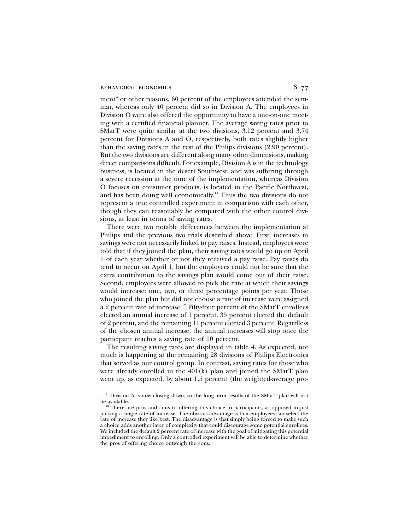#### BEHAVIORAL ECONOMICS S<sup>1</sup>77

ment" or other reasons, 60 percent of the employees attended the seminar, whereas only 40 percent did so in Division A. The employees in Division O were also offered the opportunity to have a one-on-one meeting with a certified financial planner. The average saving rates prior to SMarT were quite similar at the two divisions, 3.12 percent and 3.74 percent for Divisions A and O, respectively, both rates slightly higher than the saving rates in the rest of the Philips divisions (2.90 percent). But the two divisions are different along many other dimensions, making direct comparisons difficult. For example, Division A is in the technology business, is located in the desert Southwest, and was suffering through a severe recession at the time of the implementation, whereas Division O focuses on consumer products, is located in the Pacific Northwest, and has been doing well economically.<sup>11</sup> Thus the two divisions do not represent a true controlled experiment in comparison with each other, though they can reasonably be compared with the other control divisions, at least in terms of saving rates.

There were two notable differences between the implementation at Philips and the previous two trials described above. First, increases in savings were not necessarily linked to pay raises. Instead, employees were told that if they joined the plan, their saving rates would go up on April 1 of each year whether or not they received a pay raise. Pay raises do tend to occur on April 1, but the employees could not be sure that the extra contribution to the savings plan would come out of their raise. Second, employees were allowed to pick the rate at which their savings would increase: one, two, or three percentage points per year. Those who joined the plan but did not choose a rate of increase were assigned a 2 percent rate of increase.<sup>12</sup> Fifty-four percent of the SMarT enrollees elected an annual increase of 1 percent, 35 percent elected the default of 2 percent, and the remaining 11 percent elected 3 percent. Regardless of the chosen annual increase, the annual increases will stop once the participant reaches a saving rate of 10 percent.

The resulting saving rates are displayed in table 4. As expected, not much is happening at the remaining 28 divisions of Philips Electronics that served as our control group. In contrast, saving rates for those who were already enrolled in the 401(k) plan and joined the SMarT plan went up, as expected, by about 1.5 percent (the weighted-average pro-

<sup>&</sup>lt;sup>11</sup> Division A is now closing down, so the long-term results of the SMarT plan will not be available.

 $12$ <sup>12</sup> There are pros and cons to offering this choice to participants, as opposed to just picking a single rate of increase. The obvious advantage is that employees can select the rate of increase they like best. The disadvantage is that simply being forced to make such a choice adds another layer of complexity that could discourage some potential enrollees. We included the default 2 percent rate of increase with the goal of mitigating this potential impediment to enrolling. Only a controlled experiment will be able to determine whether the pros of offering choice outweigh the cons.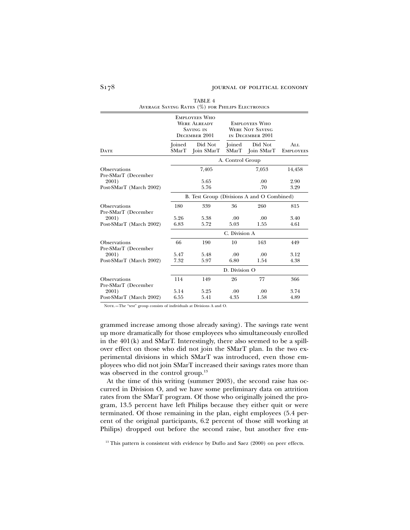|                                            | <b>EMPLOYEES WHO</b><br><b>WERE ALREADY</b><br>SAVING IN<br>DECEMBER 2001 |                       | <b>EMPLOYEES WHO</b><br><b>WERE NOT SAVING</b><br>IN DECEMBER 2001 |                       |                                |  |  |  |
|--------------------------------------------|---------------------------------------------------------------------------|-----------------------|--------------------------------------------------------------------|-----------------------|--------------------------------|--|--|--|
| <b>DATE</b>                                | Joined<br>SMarT                                                           | Did Not<br>Join SMarT | Joined<br>SMarT                                                    | Did Not<br>Join SMarT | <b>ALL</b><br><b>EMPLOYEES</b> |  |  |  |
|                                            |                                                                           |                       | A. Control Group                                                   |                       |                                |  |  |  |
| Observations<br>Pre-SMarT (December        |                                                                           | 7,405                 |                                                                    | 7,053                 | 14,458                         |  |  |  |
| 2001)                                      |                                                                           | 5.65                  |                                                                    | .00.                  | 2.90                           |  |  |  |
| Post-SMarT (March 2002)                    |                                                                           | 5.76                  |                                                                    | .70                   | 3.29                           |  |  |  |
|                                            | B. Test Group (Divisions A and O Combined)                                |                       |                                                                    |                       |                                |  |  |  |
| Observations<br>Pre-SMarT (December        | 180                                                                       | 339                   | 36                                                                 | 260                   | 815                            |  |  |  |
| 2001)                                      | 5.26                                                                      | 5.38                  | .00                                                                | .00.                  | 3.40                           |  |  |  |
| Post-SMarT (March 2002)                    | 6.83                                                                      | 5.72                  | 5.03                                                               | 1.55                  | 4.61                           |  |  |  |
|                                            |                                                                           | C. Division A         |                                                                    |                       |                                |  |  |  |
| <b>Observations</b><br>Pre-SMarT (December | 66                                                                        | 190                   | 10                                                                 | 163                   | 449                            |  |  |  |
| 2001)                                      | 5.47                                                                      | 5.48                  | .00.                                                               | .00                   | 3.12                           |  |  |  |
| Post-SMarT (March 2002)                    | 7.32                                                                      | 5.97                  | 6.80                                                               | 1.54                  | 4.38                           |  |  |  |
|                                            | D. Division O                                                             |                       |                                                                    |                       |                                |  |  |  |
| <b>Observations</b><br>Pre-SMarT (December | 114                                                                       | 149                   | 26                                                                 | 77                    | 366                            |  |  |  |
| 2001)                                      | 5.14                                                                      | 5.25                  | .00.                                                               | .00                   | 3.74                           |  |  |  |
| Post-SMarT (March 2002)                    | 6.55                                                                      | 5.41                  | 4.35                                                               | 1.58                  | 4.89                           |  |  |  |

TABLE 4 Average Saving Rates (%) for Philips Electronics

NOTE. - The "test" group consists of individuals at Divisions A and O.

grammed increase among those already saving). The savings rate went up more dramatically for those employees who simultaneously enrolled in the 401(k) and SMarT. Interestingly, there also seemed to be a spillover effect on those who did not join the SMarT plan. In the two experimental divisions in which SMarT was introduced, even those employees who did not join SMarT increased their savings rates more than was observed in the control group.<sup>13</sup>

At the time of this writing (summer 2003), the second raise has occurred in Division O, and we have some preliminary data on attrition rates from the SMarT program. Of those who originally joined the program, 13.5 percent have left Philips because they either quit or were terminated. Of those remaining in the plan, eight employees (5.4 percent of the original participants, 6.2 percent of those still working at Philips) dropped out before the second raise, but another five em-

<sup>&</sup>lt;sup>13</sup> This pattern is consistent with evidence by Duflo and Saez (2000) on peer effects.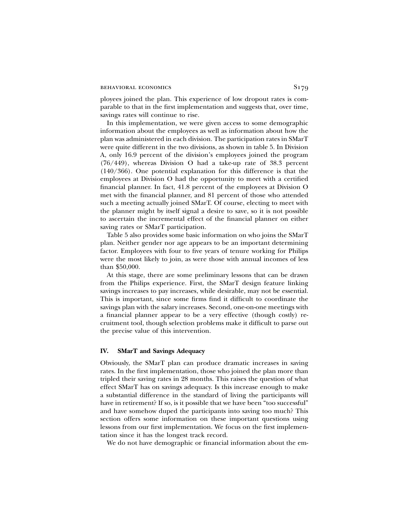ployees joined the plan. This experience of low dropout rates is comparable to that in the first implementation and suggests that, over time, savings rates will continue to rise.

In this implementation, we were given access to some demographic information about the employees as well as information about how the plan was administered in each division. The participation rates in SMarT were quite different in the two divisions, as shown in table 5. In Division A, only 16.9 percent of the division's employees joined the program  $(76/449)$ , whereas Division O had a take-up rate of 38.3 percent  $(140/366)$ . One potential explanation for this difference is that the employees at Division O had the opportunity to meet with a certified financial planner. In fact, 41.8 percent of the employees at Division O met with the financial planner, and 81 percent of those who attended such a meeting actually joined SMarT. Of course, electing to meet with the planner might by itself signal a desire to save, so it is not possible to ascertain the incremental effect of the financial planner on either saving rates or SMarT participation.

Table 5 also provides some basic information on who joins the SMarT plan. Neither gender nor age appears to be an important determining factor. Employees with four to five years of tenure working for Philips were the most likely to join, as were those with annual incomes of less than \$50,000.

At this stage, there are some preliminary lessons that can be drawn from the Philips experience. First, the SMarT design feature linking savings increases to pay increases, while desirable, may not be essential. This is important, since some firms find it difficult to coordinate the savings plan with the salary increases. Second, one-on-one meetings with a financial planner appear to be a very effective (though costly) recruitment tool, though selection problems make it difficult to parse out the precise value of this intervention.

#### **IV. SMarT and Savings Adequacy**

Obviously, the SMarT plan can produce dramatic increases in saving rates. In the first implementation, those who joined the plan more than tripled their saving rates in 28 months. This raises the question of what effect SMarT has on savings adequacy. Is this increase enough to make a substantial difference in the standard of living the participants will have in retirement? If so, is it possible that we have been "too successful" and have somehow duped the participants into saving too much? This section offers some information on these important questions using lessons from our first implementation. We focus on the first implementation since it has the longest track record.

We do not have demographic or financial information about the em-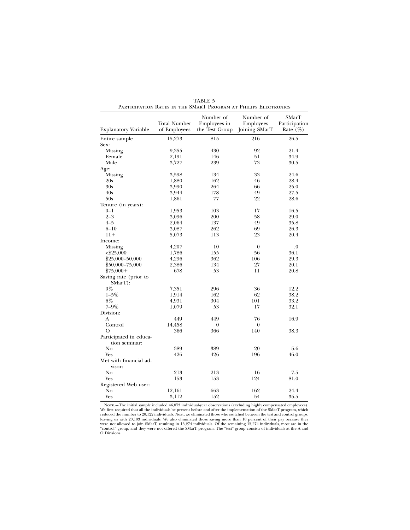|                                         | <b>Total Number</b> | Number of<br>Employees in | Number of<br>Employees | SMarT<br>Participation |
|-----------------------------------------|---------------------|---------------------------|------------------------|------------------------|
| Explanatory Variable                    | of Employees        | the Test Group            | Joining SMarT          | Rate $(\%)$            |
| Entire sample                           | 15,273              | 815                       | 216                    | 26.5                   |
| Sex:                                    |                     |                           |                        |                        |
| Missing                                 | 9,355               | 430                       | 92                     | 21.4                   |
| Female                                  | 2,191               | 146                       | 51                     | 34.9                   |
| Male                                    | 3,727               | 239                       | 73                     | 30.5                   |
| Age:                                    |                     |                           |                        |                        |
| Missing                                 | 3,598               | 134                       | 33                     | 24.6                   |
| 20s                                     | 1,880               | 162                       | 46                     | 28.4                   |
| 30s                                     | 3,990               | 264                       | 66                     | 25.0                   |
| 40s                                     | 3,944               | 178                       | 49                     | 27.5                   |
| 50s                                     | 1,861               | 77                        | 22                     | 28.6                   |
| Tenure (in years):                      |                     |                           |                        |                        |
| $0 - 1$                                 | 1,953               | 103                       | 17                     | 16.5                   |
| $2 - 3$                                 | 3,096               | 200                       | 58                     | 29.0                   |
| $4 - 5$                                 | 2,064               | 137                       | 49                     | 35.8                   |
| $6 - 10$                                | 3,087               | 262                       | 69                     | 26.3                   |
| $11+$                                   | 5,073               | 113                       | 23                     | 20.4                   |
| Income:                                 |                     |                           |                        |                        |
| Missing                                 | 4,207               | 10                        | $\boldsymbol{0}$       | $_{0}$                 |
| $<$ \$25,000                            | 1,786               | 155                       | 56                     | 36.1                   |
| \$25,000-50,000                         | 4,296               | 362                       | 106                    | 29.3                   |
| \$50,000-75,000                         | 2,386               | 134                       | 27                     | 20.1                   |
| $$75,000+$                              | 678                 | 53                        | 11                     | 20.8                   |
| Saving rate (prior to<br>SMarT):        |                     |                           |                        |                        |
| $0\%$                                   | 7,351               | 296                       | 36                     | 12.2                   |
| $1 - 5\%$                               | 1,914               | 162                       | 62                     | 38.2                   |
| $6\%$                                   | 4,931               | 304                       | 101                    | 33.2                   |
| $7 - 9\%$                               | 1,079               | 53                        | 17                     | 32.1                   |
| Division:                               |                     |                           |                        |                        |
| A                                       | 449                 | 449                       | 76                     | 16.9                   |
| Control                                 | 14,458              | $\mathbf{0}$              | $\boldsymbol{0}$       |                        |
| $\Omega$                                | 366                 | 366                       | 140                    | 38.3                   |
| Participated in educa-<br>tion seminar: |                     |                           |                        |                        |
| No                                      | 389                 | 389                       | 20                     | 5.6                    |
| Yes                                     | 426                 | 426                       | 196                    | 46.0                   |
| Met with financial ad-<br>visor:        |                     |                           |                        |                        |
| No                                      | 213                 | 213                       | 16                     | 7.5                    |
| Yes                                     | 153                 | 153                       | 124                    | 81.0                   |
| Registered Web user:                    |                     |                           |                        |                        |
| No                                      | 12,161              | 663                       | 162                    | 24.4                   |
| Yes                                     | 3,112               | 152                       | 54                     | 35.5                   |

| TABLE 5                                                         |
|-----------------------------------------------------------------|
| PARTICIPATION RATES IN THE SMART PROGRAM AT PHILIPS ELECTRONICS |

Norr..—The initial sample included 46,873 individual-year observations (excluding highly compensated employees). We first required that all the individuals be present before and after the implementation of the SMarT progra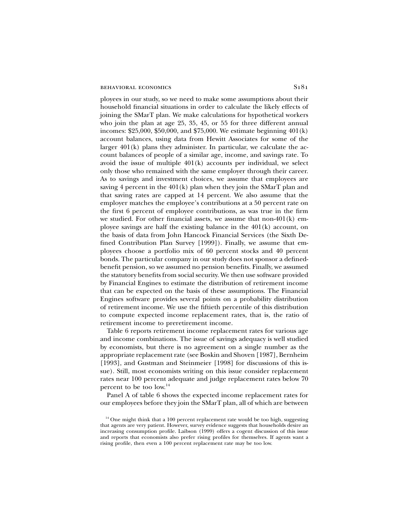ployees in our study, so we need to make some assumptions about their household financial situations in order to calculate the likely effects of joining the SMarT plan. We make calculations for hypothetical workers who join the plan at age 25, 35, 45, or 55 for three different annual incomes: \$25,000, \$50,000, and \$75,000. We estimate beginning 401(k) account balances, using data from Hewitt Associates for some of the larger 401(k) plans they administer. In particular, we calculate the account balances of people of a similar age, income, and savings rate. To avoid the issue of multiple 401(k) accounts per individual, we select only those who remained with the same employer through their career. As to savings and investment choices, we assume that employees are saving 4 percent in the 401(k) plan when they join the SMarT plan and that saving rates are capped at 14 percent. We also assume that the employer matches the employee's contributions at a 50 percent rate on the first 6 percent of employee contributions, as was true in the firm we studied. For other financial assets, we assume that non-401(k) employee savings are half the existing balance in the 401(k) account, on the basis of data from John Hancock Financial Services (the Sixth Defined Contribution Plan Survey [1999]). Finally, we assume that employees choose a portfolio mix of 60 percent stocks and 40 percent bonds. The particular company in our study does not sponsor a definedbenefit pension, so we assumed no pension benefits. Finally, we assumed the statutory benefits from social security. We then use software provided by Financial Engines to estimate the distribution of retirement income that can be expected on the basis of these assumptions. The Financial Engines software provides several points on a probability distribution of retirement income. We use the fiftieth percentile of this distribution to compute expected income replacement rates, that is, the ratio of retirement income to preretirement income.

Table 6 reports retirement income replacement rates for various age and income combinations. The issue of savings adequacy is well studied by economists, but there is no agreement on a single number as the appropriate replacement rate (see Boskin and Shoven [1987], Bernheim [1993], and Gustman and Steinmeier [1998] for discussions of this issue). Still, most economists writing on this issue consider replacement rates near 100 percent adequate and judge replacement rates below 70 percent to be too low.<sup>14</sup>

Panel A of table 6 shows the expected income replacement rates for our employees before they join the SMarT plan, all of which are between

<sup>&</sup>lt;sup>14</sup> One might think that a 100 percent replacement rate would be too high, suggesting that agents are very patient. However, survey evidence suggests that households desire an increasing consumption profile. Laibson (1999) offers a cogent discussion of this issue and reports that economists also prefer rising profiles for themselves. If agents want a rising profile, then even a 100 percent replacement rate may be too low.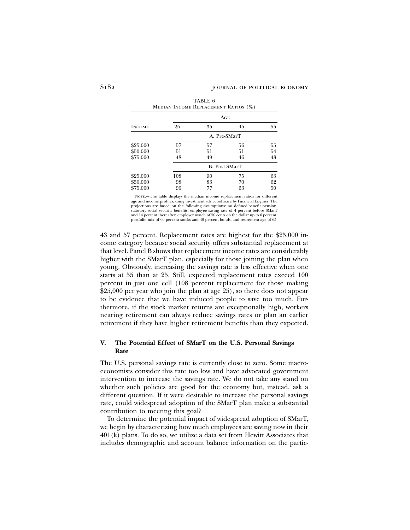|               | MEDIAN INCOME REPLACEMENT RATIOS (%) |              |                      |    |  |  |  |
|---------------|--------------------------------------|--------------|----------------------|----|--|--|--|
| <b>INCOME</b> |                                      |              | AGE                  |    |  |  |  |
|               | 25                                   | 35           | 45                   | 55 |  |  |  |
|               |                                      | A. Pre-SMarT |                      |    |  |  |  |
| \$25,000      | 57                                   | 57           | 56                   | 55 |  |  |  |
| \$50,000      | 51                                   | 51           | 51                   | 54 |  |  |  |
| \$75,000      | 48                                   | 49           | 46                   | 43 |  |  |  |
|               |                                      |              | <b>B.</b> Post-SMarT |    |  |  |  |
| \$25,000      | 108                                  | 90           | 75                   | 63 |  |  |  |
| \$50,000      | 98                                   | 83           | 70                   | 62 |  |  |  |
| \$75,000      | 90                                   | 77           | 63                   | 50 |  |  |  |

TABLE 6

NOTE.-The table displays the median income replacement ratios for different age and income profiles, using investment advice software by Financial Engines. The projections are based on the following assumptions: no defined-benefit pension, statutory social security benefits, employee saving rate of 4 percent before SMarT and 14 percent thereafter, employer match of 50 cents on the dollar up to 6 percent, portfolio mix of 60 percent stocks and 40 percent bonds, and retirement age of 65.

43 and 57 percent. Replacement rates are highest for the \$25,000 income category because social security offers substantial replacement at that level. Panel B shows that replacement income rates are considerably higher with the SMarT plan, especially for those joining the plan when young. Obviously, increasing the savings rate is less effective when one starts at 55 than at 25. Still, expected replacement rates exceed 100 percent in just one cell (108 percent replacement for those making \$25,000 per year who join the plan at age 25), so there does not appear to be evidence that we have induced people to save too much. Furthermore, if the stock market returns are exceptionally high, workers nearing retirement can always reduce savings rates or plan an earlier retirement if they have higher retirement benefits than they expected.

## **V. The Potential Effect of SMarT on the U.S. Personal Savings Rate**

The U.S. personal savings rate is currently close to zero. Some macroeconomists consider this rate too low and have advocated government intervention to increase the savings rate. We do not take any stand on whether such policies are good for the economy but, instead, ask a different question. If it were desirable to increase the personal savings rate, could widespread adoption of the SMarT plan make a substantial contribution to meeting this goal?

To determine the potential impact of widespread adoption of SMarT, we begin by characterizing how much employees are saving now in their 401(k) plans. To do so, we utilize a data set from Hewitt Associates that includes demographic and account balance information on the partic-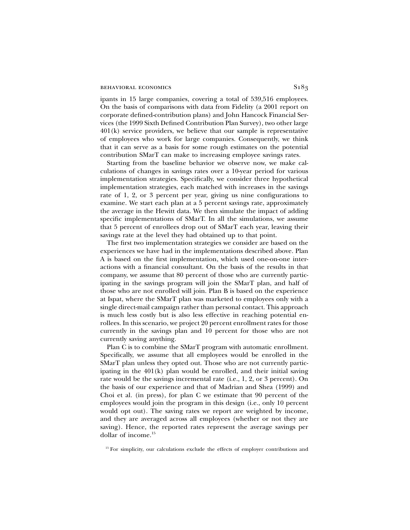ipants in 15 large companies, covering a total of 539,516 employees. On the basis of comparisons with data from Fidelity (a 2001 report on corporate defined-contribution plans) and John Hancock Financial Services (the 1999 Sixth Defined Contribution Plan Survey), two other large 401(k) service providers, we believe that our sample is representative of employees who work for large companies. Consequently, we think that it can serve as a basis for some rough estimates on the potential contribution SMarT can make to increasing employee savings rates.

Starting from the baseline behavior we observe now, we make calculations of changes in savings rates over a 10-year period for various implementation strategies. Specifically, we consider three hypothetical implementation strategies, each matched with increases in the savings rate of 1, 2, or 3 percent per year, giving us nine configurations to examine. We start each plan at a 5 percent savings rate, approximately the average in the Hewitt data. We then simulate the impact of adding specific implementations of SMarT. In all the simulations, we assume that 5 percent of enrollees drop out of SMarT each year, leaving their savings rate at the level they had obtained up to that point.

The first two implementation strategies we consider are based on the experiences we have had in the implementations described above. Plan A is based on the first implementation, which used one-on-one interactions with a financial consultant. On the basis of the results in that company, we assume that 80 percent of those who are currently participating in the savings program will join the SMarT plan, and half of those who are not enrolled will join. Plan B is based on the experience at Ispat, where the SMarT plan was marketed to employees only with a single direct-mail campaign rather than personal contact. This approach is much less costly but is also less effective in reaching potential enrollees. In this scenario, we project 20 percent enrollment rates for those currently in the savings plan and 10 percent for those who are not currently saving anything.

Plan C is to combine the SMarT program with automatic enrollment. Specifically, we assume that all employees would be enrolled in the SMarT plan unless they opted out. Those who are not currently participating in the 401(k) plan would be enrolled, and their initial saving rate would be the savings incremental rate (i.e., 1, 2, or 3 percent). On the basis of our experience and that of Madrian and Shea (1999) and Choi et al. (in press), for plan C we estimate that 90 percent of the employees would join the program in this design (i.e., only 10 percent would opt out). The saving rates we report are weighted by income, and they are averaged across all employees (whether or not they are saving). Hence, the reported rates represent the average savings per dollar of income.<sup>15</sup>

<sup>&</sup>lt;sup>15</sup> For simplicity, our calculations exclude the effects of employer contributions and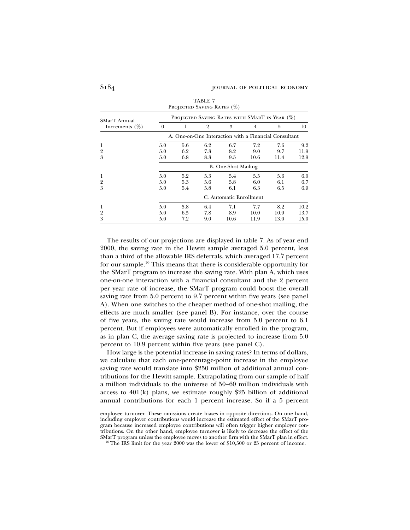| SMarT Annual      |                                                       |     |                |                     | PROJECTED SAVING RATES WITH SMART IN YEAR (%) |      |      |
|-------------------|-------------------------------------------------------|-----|----------------|---------------------|-----------------------------------------------|------|------|
| Increments $(\%)$ | $\theta$                                              | 1   | $\overline{2}$ | 3                   | 4                                             | 5    | 10   |
|                   | A. One-on-One Interaction with a Financial Consultant |     |                |                     |                                               |      |      |
|                   | 5.0                                                   | 5.6 | 6.2            | 6.7                 | 7.2                                           | 7.6  | 9.2  |
| 2                 | 5.0                                                   | 6.2 | 7.3            | 8.2                 | 9.0                                           | 9.7  | 11.9 |
| 3                 | 5.0                                                   | 6.8 | 8.3            | 9.5                 | 10.6                                          | 11.4 | 12.9 |
|                   |                                                       |     |                | B. One-Shot Mailing |                                               |      |      |
|                   | 5.0                                                   | 5.2 | 5.3            | 5.4                 | 5.5                                           | 5.6  | 6.0  |
| 2                 | 5.0                                                   | 5.3 | 5.6            | 5.8                 | 6.0                                           | 6.1  | 6.7  |
| 3                 | 5.0                                                   | 5.4 | 5.8            | 6.1                 | 6.3                                           | 6.5  | 6.9  |
|                   | C. Automatic Enrollment                               |     |                |                     |                                               |      |      |
|                   | 5.0                                                   | 5.8 | 6.4            | 7.1                 | 7.7                                           | 8.2  | 10.2 |
| 2                 | 5.0                                                   | 6.5 | 7.8            | 8.9                 | 10.0                                          | 10.9 | 13.7 |
| 3                 | 5.0                                                   | 7.2 | 9.0            | 10.6                | 11.9                                          | 13.0 | 15.0 |

| TABLE 7                    |  |
|----------------------------|--|
| PROJECTED SAVING RATES (%) |  |

The results of our projections are displayed in table 7. As of year end 2000, the saving rate in the Hewitt sample averaged 5.0 percent, less than a third of the allowable IRS deferrals, which averaged 17.7 percent for our sample.<sup>16</sup> This means that there is considerable opportunity for the SMarT program to increase the saving rate. With plan A, which uses one-on-one interaction with a financial consultant and the 2 percent per year rate of increase, the SMarT program could boost the overall saving rate from 5.0 percent to 9.7 percent within five years (see panel A). When one switches to the cheaper method of one-shot mailing, the effects are much smaller (see panel B). For instance, over the course of five years, the saving rate would increase from 5.0 percent to 6.1 percent. But if employees were automatically enrolled in the program, as in plan C, the average saving rate is projected to increase from 5.0 percent to 10.9 percent within five years (see panel C).

How large is the potential increase in saving rates? In terms of dollars, we calculate that each one-percentage-point increase in the employee saving rate would translate into \$250 million of additional annual contributions for the Hewitt sample. Extrapolating from our sample of half a million individuals to the universe of 50–60 million individuals with access to  $401(k)$  plans, we estimate roughly \$25 billion of additional annual contributions for each 1 percent increase. So if a 5 percent

employee turnover. These omissions create biases in opposite directions. On one hand, including employer contributions would increase the estimated effect of the SMarT program because increased employee contributions will often trigger higher employer contributions. On the other hand, employee turnover is likely to decrease the effect of the SMarT program unless the employee moves to another firm with the SMarT plan in effect.

<sup>&</sup>lt;sup>16</sup> The IRS limit for the year 2000 was the lower of \$10,500 or 25 percent of income.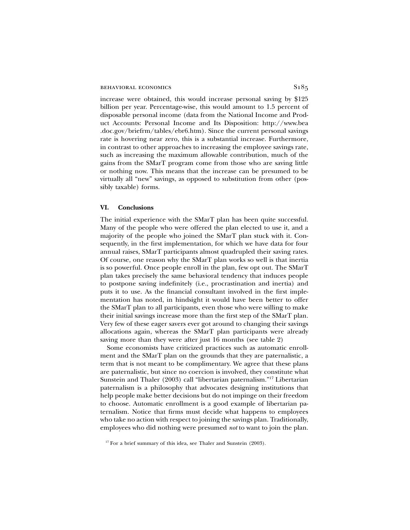increase were obtained, this would increase personal saving by \$125 billion per year. Percentage-wise, this would amount to 1.5 percent of disposable personal income (data from the National Income and Product Accounts: Personal Income and Its Disposition: http://www.bea .doc.gov/briefrm/tables/ebr6.htm). Since the current personal savings rate is hovering near zero, this is a substantial increase. Furthermore, in contrast to other approaches to increasing the employee savings rate, such as increasing the maximum allowable contribution, much of the gains from the SMarT program come from those who are saving little or nothing now. This means that the increase can be presumed to be virtually all "new" savings, as opposed to substitution from other (possibly taxable) forms.

#### **VI. Conclusions**

The initial experience with the SMarT plan has been quite successful. Many of the people who were offered the plan elected to use it, and a majority of the people who joined the SMarT plan stuck with it. Consequently, in the first implementation, for which we have data for four annual raises, SMarT participants almost quadrupled their saving rates. Of course, one reason why the SMarT plan works so well is that inertia is so powerful. Once people enroll in the plan, few opt out. The SMarT plan takes precisely the same behavioral tendency that induces people to postpone saving indefinitely (i.e., procrastination and inertia) and puts it to use. As the financial consultant involved in the first implementation has noted, in hindsight it would have been better to offer the SMarT plan to all participants, even those who were willing to make their initial savings increase more than the first step of the SMarT plan. Very few of these eager savers ever got around to changing their savings allocations again, whereas the SMarT plan participants were already saving more than they were after just 16 months (see table 2)

Some economists have criticized practices such as automatic enrollment and the SMarT plan on the grounds that they are paternalistic, a term that is not meant to be complimentary. We agree that these plans are paternalistic, but since no coercion is involved, they constitute what Sunstein and Thaler (2003) call "libertarian paternalism."<sup>17</sup> Libertarian paternalism is a philosophy that advocates designing institutions that help people make better decisions but do not impinge on their freedom to choose. Automatic enrollment is a good example of libertarian paternalism. Notice that firms must decide what happens to employees who take no action with respect to joining the savings plan. Traditionally, employees who did nothing were presumed *not* to want to join the plan.

 $17$  For a brief summary of this idea, see Thaler and Sunstein (2003).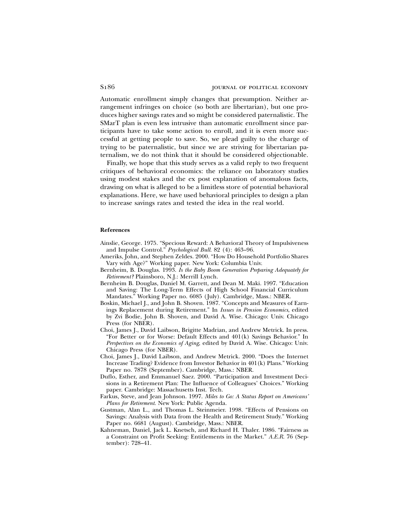Automatic enrollment simply changes that presumption. Neither arrangement infringes on choice (so both are libertarian), but one produces higher savings rates and so might be considered paternalistic. The SMarT plan is even less intrusive than automatic enrollment since participants have to take some action to enroll, and it is even more successful at getting people to save. So, we plead guilty to the charge of trying to be paternalistic, but since we are striving for libertarian paternalism, we do not think that it should be considered objectionable.

Finally, we hope that this study serves as a valid reply to two frequent critiques of behavioral economics: the reliance on laboratory studies using modest stakes and the ex post explanation of anomalous facts, drawing on what is alleged to be a limitless store of potential behavioral explanations. Here, we have used behavioral principles to design a plan to increase savings rates and tested the idea in the real world.

#### **References**

- Ainslie, George. 1975. "Specious Reward: A Behavioral Theory of Impulsiveness and Impulse Control." *Psychological Bull.* 82 (4): 463–96.
- Ameriks, John, and Stephen Zeldes. 2000. "How Do Household Portfolio Shares Vary with Age?" Working paper. New York: Columbia Univ.
- Bernheim, B. Douglas. 1993. *Is the Baby Boom Generation Preparing Adequately for Retirement?* Plainsboro, N.J.: Merrill Lynch.
- Bernheim B. Douglas, Daniel M. Garrett, and Dean M. Maki. 1997. "Education and Saving: The Long-Term Effects of High School Financial Curriculum Mandates." Working Paper no. 6085 (July). Cambridge, Mass.: NBER.
- Boskin, Michael J., and John B. Shoven. 1987. "Concepts and Measures of Earnings Replacement during Retirement." In *Issues in Pension Economics*, edited by Zvi Bodie, John B. Shoven, and David A. Wise. Chicago: Univ. Chicago Press (for NBER).
- Choi, James J., David Laibson, Brigitte Madrian, and Andrew Metrick. In press. "For Better or for Worse: Default Effects and 401(k) Savings Behavior." In *Perspectives on the Economics of Aging*, edited by David A. Wise. Chicago: Univ. Chicago Press (for NBER).
- Choi, James J., David Laibson, and Andrew Metrick. 2000. "Does the Internet Increase Trading? Evidence from Investor Behavior in 401(k) Plans." Working Paper no. 7878 (September). Cambridge, Mass.: NBER.
- Duflo, Esther, and Emmanuel Saez. 2000. "Participation and Investment Decisions in a Retirement Plan: The Influence of Colleagues' Choices." Working paper. Cambridge: Massachusetts Inst. Tech.
- Farkus, Steve, and Jean Johnson. 1997. *Miles to Go: A Status Report on Americans' Plans for Retirement*. New York: Public Agenda.
- Gustman, Alan L., and Thomas L. Steinmeier. 1998. "Effects of Pensions on Savings: Analysis with Data from the Health and Retirement Study." Working Paper no. 6681 (August). Cambridge, Mass.: NBER.
- Kahneman, Daniel, Jack L. Knetsch, and Richard H. Thaler. 1986. "Fairness as a Constraint on Profit Seeking: Entitlements in the Market." *A.E.R.* 76 (September): 728–41.